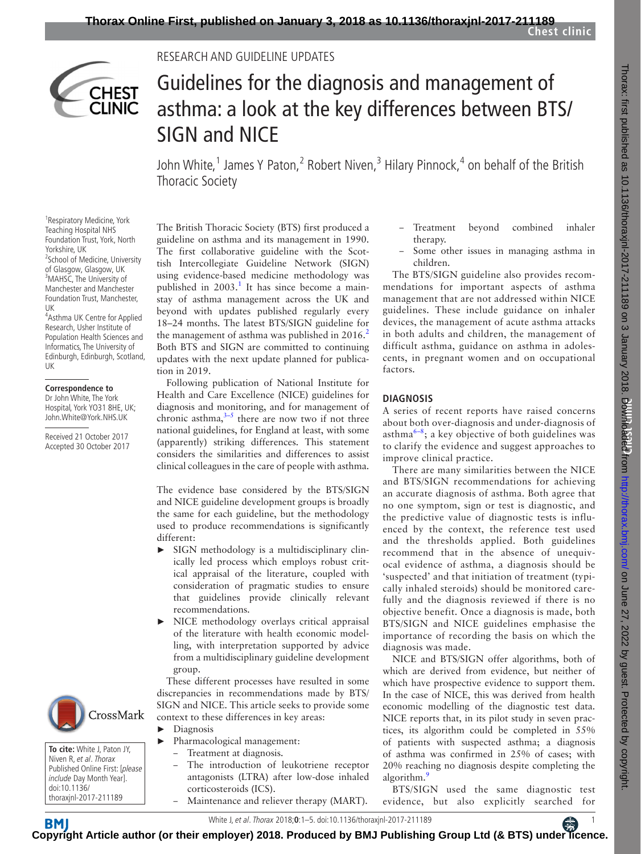

# Research and Guideline updates

# Guidelines for the diagnosis and management of asthma: a look at the key differences between BTS/ SIGN and NICE

John White,<sup>1</sup> James Y Paton,<sup>2</sup> Robert Niven,<sup>3</sup> Hilary Pinnock,<sup>4</sup> on behalf of the British Thoracic Society

<sup>1</sup> Respiratory Medicine, York Teaching Hospital NHS Foundation Trust, York, North Yorkshire, UK <sup>2</sup> <sup>2</sup>School of Medicine, University of Glasgow, Glasgow, UK <sup>3</sup>MAHSC, The University of Manchester and Manchester Foundation Trust, Manchester, UK

4 Asthma UK Centre for Applied Research, Usher Institute of Population Health Sciences and Informatics, The University of Edinburgh, Edinburgh, Scotland, UK

#### **Correspondence to**

Dr John White, The York Hospital, York YO31 8HE, UK; John.White@York.NHS.UK

Received 21 October 2017 Accepted 30 October 2017



**To cite:** White J, Paton JY, Niven R, et al. Thorax Published Online First: [please include Day Month Year]. doi:10.1136/ thoraxjnl-2017-211189

The British Thoracic Society (BTS) first produced a guideline on asthma and its management in 1990. The first collaborative guideline with the Scottish Intercollegiate Guideline Network (SIGN) using evidence-based medicine methodology was published in 2003.<sup>[1](#page-4-0)</sup> It has since become a mainstay of asthma management across the UK and beyond with updates published regularly every 18–24 months. The latest BTS/SIGN guideline for the management of asthma was published in  $2016<sup>2</sup>$  $2016<sup>2</sup>$ Both BTS and SIGN are committed to continuing updates with the next update planned for publication in 2019.

Following publication of National Institute for Health and Care Excellence (NICE) guidelines for diagnosis and monitoring, and for management of chronic asthma, $3-5$  there are now two if not three national guidelines, for England at least, with some (apparently) striking differences. This statement considers the similarities and differences to assist clinical colleagues in the care of people with asthma.

The evidence base considered by the BTS/SIGN and NICE guideline development groups is broadly the same for each guideline, but the methodology used to produce recommendations is significantly different:

- ► SIGN methodology is a multidisciplinary clinically led process which employs robust critical appraisal of the literature, coupled with consideration of pragmatic studies to ensure that guidelines provide clinically relevant recommendations.
- ► NICE methodology overlays critical appraisal of the literature with health economic modelling, with interpretation supported by advice from a multidisciplinary guideline development group.

These different processes have resulted in some discrepancies in recommendations made by BTS/ SIGN and NICE. This article seeks to provide some context to these differences in key areas:

- ► Diagnosis ► Pharmacological management:
	- Treatment at diagnosis.
	- The introduction of leukotriene receptor antagonists (LTRA) after low-dose inhaled corticosteroids (ICS).
	- Maintenance and reliever therapy (MART).
- Treatment beyond combined inhaler therapy.
- Some other issues in managing asthma in children.

The BTS/SIGN guideline also provides recommendations for important aspects of asthma management that are not addressed within NICE guidelines. These include guidance on inhaler devices, the management of acute asthma attacks in both adults and children, the management of difficult asthma, guidance on asthma in adolescents, in pregnant women and on occupational factors.

#### **Diagnosis**

A series of recent reports have raised concerns about both over-diagnosis and under-diagnosis of asthma $^{6-8}$ ; a key objective of both guidelines was to clarify the evidence and suggest approaches to improve clinical practice.

There are many similarities between the NICE and BTS/SIGN recommendations for achieving an accurate diagnosis of asthma. Both agree that no one symptom, sign or test is diagnostic, and the predictive value of diagnostic tests is influenced by the context, the reference test used and the thresholds applied. Both guidelines recommend that in the absence of unequivocal evidence of asthma, a diagnosis should be 'suspected' and that initiation of treatment (typically inhaled steroids) should be monitored carefully and the diagnosis reviewed if there is no objective benefit. Once a diagnosis is made, both BTS/SIGN and NICE guidelines emphasise the importance of recording the basis on which the diagnosis was made.

NICE and BTS/SIGN offer algorithms, both of which are derived from evidence, but neither of which have prospective evidence to support them. In the case of NICE, this was derived from health economic modelling of the diagnostic test data. NICE reports that, in its pilot study in seven practices, its algorithm could be completed in 55% of patients with suspected asthma; a diagnosis of asthma was confirmed in 25% of cases; with 20% reaching no diagnosis despite completing the algorithm.<sup>[9](#page-4-4)</sup>

BTS/SIGN used the same diagnostic test evidence, but also explicitly searched for

White J, et al. Thorax 2018;**0**:1–5. doi:10.1136/thoraxjnl-2017-2111891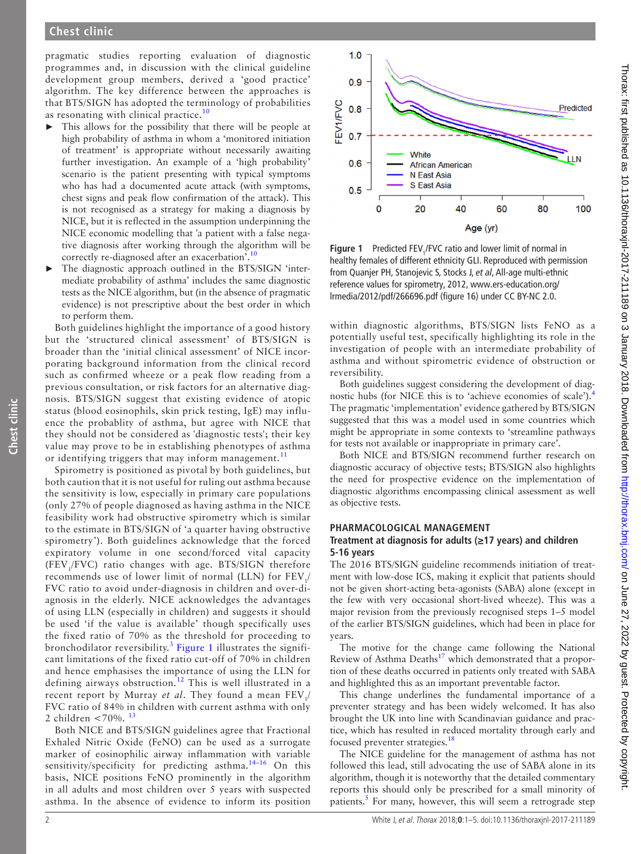# **Chest clinic**

pragmatic studies reporting evaluation of diagnostic programmes and, in discussion with the clinical guideline development group members, derived a 'good practice' algorithm. The key difference between the approaches is that BTS/SIGN has adopted the terminology of probabilities as resonating with clinical practice.<sup>[10](#page-4-5)</sup>

- ► This allows for the possibility that there will be people at high probability of asthma in whom a 'monitored initiation of treatment' is appropriate without necessarily awaiting further investigation. An example of a 'high probability' scenario is the patient presenting with typical symptoms who has had a documented acute attack (with symptoms, chest signs and peak flow confirmation of the attack). This is not recognised as a strategy for making a diagnosis by NICE, but it is reflected in the assumption underpinning the NICE economic modelling that 'a patient with a false negative diagnosis after working through the algorithm will be correctly re-diagnosed after an exacerbation<sup>'[.10](#page-4-5)</sup>
- The diagnostic approach outlined in the BTS/SIGN 'intermediate probability of asthma' includes the same diagnostic tests as the NICE algorithm, but (in the absence of pragmatic evidence) is not prescriptive about the best order in which to perform them.

Both guidelines highlight the importance of a good history but the 'structured clinical assessment' of BTS/SIGN is broader than the 'initial clinical assessment' of NICE incorporating background information from the clinical record such as confirmed wheeze or a peak flow reading from a previous consultation, or risk factors for an alternative diagnosis. BTS/SIGN suggest that existing evidence of atopic status (blood eosinophils, skin prick testing, IgE) may influence the probablity of asthma, but agree with NICE that they should not be considered as 'diagnostic tests'; their key value may prove to be in establishing phenotypes of asthma or identifying triggers that may inform management.<sup>[11](#page-4-6)</sup>

Spirometry is positioned as pivotal by both guidelines, but both caution that it is not useful for ruling out asthma because the sensitivity is low, especially in primary care populations (only 27% of people diagnosed as having asthma in the NICE feasibility work had obstructive spirometry which is similar to the estimate in BTS/SIGN of 'a quarter having obstructive spirometry'). Both guidelines acknowledge that the forced expiratory volume in one second/forced vital capacity (FEV<sub>1</sub>/FVC) ratio changes with age. BTS/SIGN therefore recommends use of lower limit of normal (LLN) for  $FEV$ <sub>1</sub>/ FVC ratio to avoid under-diagnosis in children and over-diagnosis in the elderly. NICE acknowledges the advantages of using LLN (especially in children) and suggests it should be used 'if the value is available' though specifically uses the fixed ratio of 70% as the threshold for proceeding to bronchodilator reversibility. $3$  [Figure](#page-1-0) 1 illustrates the significant limitations of the fixed ratio cut-off of 70% in children and hence emphasises the importance of using the LLN for defining airways obstruction.<sup>[12](#page-4-7)</sup> This is well illustrated in a recent report by Murray *et al*. They found a mean FEV<sub>1</sub>/ FVC ratio of 84% in children with current asthma with only 2 children  $\lt$  70%.  $^{13}$  $^{13}$  $^{13}$ 

Both NICE and BTS/SIGN guidelines agree that Fractional Exhaled Nitric Oxide (FeNO) can be used as a surrogate marker of eosinophilic airway inflammation with variable sensitivity/specificity for predicting asthma.<sup>14-16</sup> On this basis, NICE positions FeNO prominently in the algorithm in all adults and most children over 5 years with suspected asthma. In the absence of evidence to inform its position



<span id="page-1-0"></span>**Figure 1** Predicted FEV<sub>1</sub>/FVC ratio and lower limit of normal in healthy females of different ethnicity GLI. Reproduced with permission from Quanjer PH, Stanojevic S, Stocks J, *et al*, All-age multi-ethnic reference values for spirometry, 2012, [www.ers-education.org/](www.ers-education.org/lrmedia/2012/pdf/266696.pdf) [lrmedia/2012/pdf/266696.pdf](www.ers-education.org/lrmedia/2012/pdf/266696.pdf) (figure 16) under CC BY-NC 2.0.

within diagnostic algorithms, BTS/SIGN lists FeNO as a potentially useful test, specifically highlighting its role in the investigation of people with an intermediate probability of asthma and without spirometric evidence of obstruction or reversibility.

Both guidelines suggest considering the development of diagnostic hubs (for NICE this is to 'achieve economies of scale').[4](#page-4-10) The pragmatic 'implementation' evidence gathered by BTS/SIGN suggested that this was a model used in some countries which might be appropriate in some contexts to 'streamline pathways for tests not available or inappropriate in primary care'.

Both NICE and BTS/SIGN recommend further research on diagnostic accuracy of objective tests; BTS/SIGN also highlights the need for prospective evidence on the implementation of diagnostic algorithms encompassing clinical assessment as well as objective tests.

#### **Pharmacological management**

#### **Treatment at diagnosis for adults (≥17 years) and children 5-16 years**

The 2016 BTS/SIGN guideline recommends initiation of treatment with low-dose ICS, making it explicit that patients should not be given short-acting beta-agonists (SABA) alone (except in the few with very occasional short-lived wheeze). This was a major revision from the previously recognised steps 1–5 model of the earlier BTS/SIGN guidelines, which had been in place for years.

The motive for the change came following the National Review of Asthma Deaths $^{17}$  which demonstrated that a proportion of these deaths occurred in patients only treated with SABA and highlighted this as an important preventable factor.

This change underlines the fundamental importance of a preventer strategy and has been widely welcomed. It has also brought the UK into line with Scandinavian guidance and practice, which has resulted in reduced mortality through early and focused preventer strategies.<sup>[18](#page-4-12)</sup>

The NICE guideline for the management of asthma has not followed this lead, still advocating the use of SABA alone in its algorithm, though it is noteworthy that the detailed commentary reports this should only be prescribed for a small minority of patients.<sup>5</sup> For many, however, this will seem a retrograde step

**Chest clinic**

Chest clinic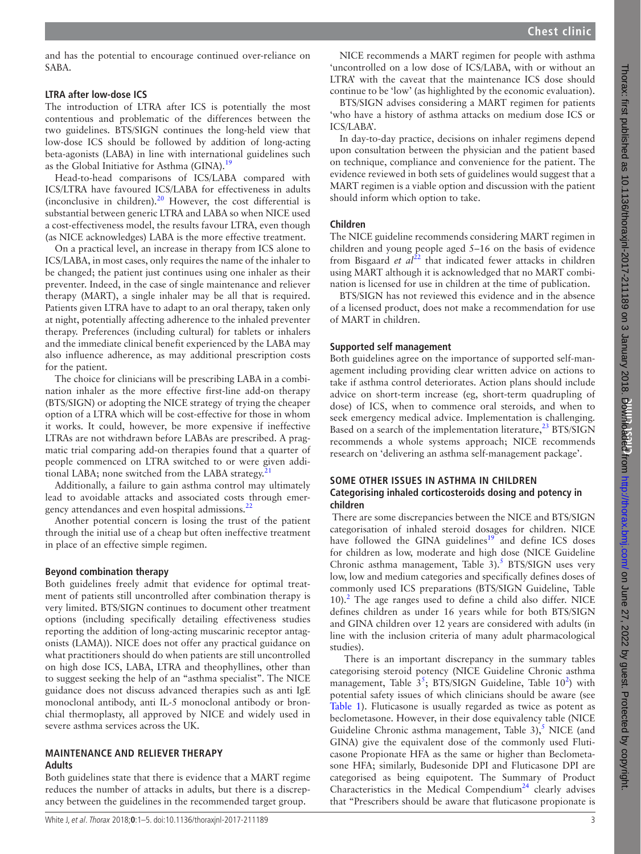and has the potential to encourage continued over-reliance on SABA.

# **LTRA after low-dose ICS**

The introduction of LTRA after ICS is potentially the most contentious and problematic of the differences between the two guidelines. BTS/SIGN continues the long-held view that low-dose ICS should be followed by addition of long-acting beta-agonists (LABA) in line with international guidelines such as the Global Initiative for Asthma (GINA).<sup>19</sup>

Head-to-head comparisons of ICS/LABA compared with ICS/LTRA have favoured ICS/LABA for effectiveness in adults (inconclusive in children).<sup>20</sup> However, the cost differential is substantial between generic LTRA and LABA so when NICE used a cost-effectiveness model, the results favour LTRA, even though (as NICE acknowledges) LABA is the more effective treatment.

On a practical level, an increase in therapy from ICS alone to ICS/LABA, in most cases, only requires the name of the inhaler to be changed; the patient just continues using one inhaler as their preventer. Indeed, in the case of single maintenance and reliever therapy (MART), a single inhaler may be all that is required. Patients given LTRA have to adapt to an oral therapy, taken only at night, potentially affecting adherence to the inhaled preventer therapy. Preferences (including cultural) for tablets or inhalers and the immediate clinical benefit experienced by the LABA may also influence adherence, as may additional prescription costs for the patient.

The choice for clinicians will be prescribing LABA in a combination inhaler as the more effective first-line add-on therapy (BTS/SIGN) or adopting the NICE strategy of trying the cheaper option of a LTRA which will be cost-effective for those in whom it works. It could, however, be more expensive if ineffective LTRAs are not withdrawn before LABAs are prescribed. A pragmatic trial comparing add-on therapies found that a quarter of people commenced on LTRA switched to or were given additional LABA; none switched from the LABA strategy.<sup>2</sup>

Additionally, a failure to gain asthma control may ultimately lead to avoidable attacks and associated costs through emergency attendances and even hospital admissions.<sup>22</sup>

Another potential concern is losing the trust of the patient through the initial use of a cheap but often ineffective treatment in place of an effective simple regimen.

# **Beyond combination therapy**

Both guidelines freely admit that evidence for optimal treatment of patients still uncontrolled after combination therapy is very limited. BTS/SIGN continues to document other treatment options (including specifically detailing effectiveness studies reporting the addition of long-acting muscarinic receptor antagonists (LAMA)). NICE does not offer any practical guidance on what practitioners should do when patients are still uncontrolled on high dose ICS, LABA, LTRA and theophyllines, other than to suggest seeking the help of an "asthma specialist". The NICE guidance does not discuss advanced therapies such as anti IgE monoclonal antibody, anti IL-5 monoclonal antibody or bronchial thermoplasty, all approved by NICE and widely used in severe asthma services across the UK.

# **Maintenance and reliever therapy**

# **Adults**

Both guidelines state that there is evidence that a MART regime reduces the number of attacks in adults, but there is a discrepancy between the guidelines in the recommended target group.

BTS/SIGN advises considering a MART regimen for patients 'who have a history of asthma attacks on medium dose ICS or ICS/LABA'.

In day-to-day practice, decisions on inhaler regimens depend upon consultation between the physician and the patient based on technique, compliance and convenience for the patient. The evidence reviewed in both sets of guidelines would suggest that a MART regimen is a viable option and discussion with the patient should inform which option to take.

# **Children**

The NICE guideline recommends considering MART regimen in children and young people aged 5–16 on the basis of evidence from Bisgaard *et*  $aI^{22}$  $aI^{22}$  $aI^{22}$  that indicated fewer attacks in children using MART although it is acknowledged that no MART combination is licensed for use in children at the time of publication.

BTS/SIGN has not reviewed this evidence and in the absence of a licensed product, does not make a recommendation for use of MART in children.

# **Supported self management**

Both guidelines agree on the importance of supported self-management including providing clear written advice on actions to take if asthma control deteriorates. Action plans should include advice on short-term increase (eg, short-term quadrupling of dose) of ICS, when to commence oral steroids, and when to seek emergency medical advice. Implementation is challenging. Based on a search of the implementation literature, $^{23}$  $^{23}$  $^{23}$  BTS/SIGN recommends a whole systems approach; NICE recommends research on 'delivering an asthma self-management package'.

### **Some other issues in asthma in children Categorising inhaled corticosteroids dosing and potency in children**

 There are some discrepancies between the NICE and BTS/SIGN categorisation of inhaled steroid dosages for children. NICE have followed the GINA guidelines<sup>19</sup> and define ICS doses for children as low, moderate and high dose (NICE Guideline Chronic asthma management, Table  $3$ ).<sup>[5](#page-4-13)</sup> BTS/SIGN uses very low, low and medium categories and specifically defines doses of commonly used ICS preparations (BTS/SIGN Guideline, Table  $10$ ).<sup>[2](#page-4-1)</sup> The age ranges used to define a child also differ. NICE defines children as under 16 years while for both BTS/SIGN and GINA children over 12 years are considered with adults (in line with the inclusion criteria of many adult pharmacological studies).

 There is an important discrepancy in the summary tables categorising steroid potency (NICE Guideline Chronic asthma management, Table  $3^5$  $3^5$ ; BTS/SIGN Guideline, Table 10<sup>[2](#page-4-1)</sup>) with potential safety issues of which clinicians should be aware (see [Table](#page-3-0) 1). Fluticasone is usually regarded as twice as potent as beclometasone. However, in their dose equivalency table (NICE Guideline Chronic asthma management, Table  $3$ ), NICE (and GINA) give the equivalent dose of the commonly used Fluticasone Propionate HFA as the same or higher than Beclometasone HFA; similarly, Budesonide DPI and Fluticasone DPI are categorised as being equipotent. The Summary of Product Characteristics in the Medical Compendium<sup>24</sup> clearly advises that "Prescribers should be aware that fluticasone propionate is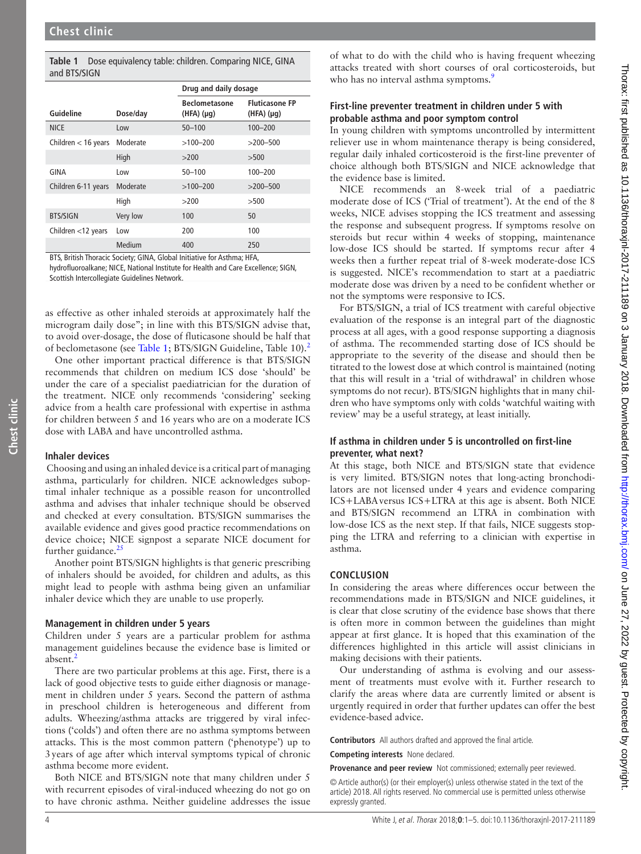<span id="page-3-0"></span>

|              | Table 1 Dose equivalency table: children. Comparing NICE, GINA |
|--------------|----------------------------------------------------------------|
| and BTS/SIGN |                                                                |

|                       |          | Drug and daily dosage                  |                                         |  |
|-----------------------|----------|----------------------------------------|-----------------------------------------|--|
| Guideline             | Dose/day | <b>Beclometasone</b><br>$(HFA)(\mu q)$ | <b>Fluticasone FP</b><br>$(HFA)(\mu g)$ |  |
| <b>NICE</b>           | Low      | $50 - 100$                             | $100 - 200$                             |  |
| Children $<$ 16 years | Moderate | $>100 - 200$                           | $>200 - 500$                            |  |
|                       | High     | >200                                   | >500                                    |  |
| GINA                  | Low      | $50 - 100$                             | $100 - 200$                             |  |
| Children 6-11 years   | Moderate | $>100 - 200$                           | $>200 - 500$                            |  |
|                       | High     | >200                                   | >500                                    |  |
| <b>BTS/SIGN</b>       | Very low | 100                                    | 50                                      |  |
| Children <12 years    | Low      | 200                                    | 100                                     |  |
|                       | Medium   | 400                                    | 250                                     |  |

BTS, British Thoracic Society; GINA, Global Initiative for Asthma; HFA,

hydrofluoroalkane; NICE, National Institute for Health and Care Excellence; SIGN, Scottish Intercollegiate Guidelines Network.

as effective as other inhaled steroids at approximately half the microgram daily dose"; in line with this BTS/SIGN advise that, to avoid over-dosage, the dose of fluticasone should be half that of beclometasone (see [Table](#page-3-0) 1; BTS/SIGN Guideline, Table 10).<sup>2</sup>

One other important practical difference is that BTS/SIGN recommends that children on medium ICS dose 'should' be under the care of a specialist paediatrician for the duration of the treatment. NICE only recommends 'considering' seeking advice from a health care professional with expertise in asthma for children between 5 and 16 years who are on a moderate ICS dose with LABA and have uncontrolled asthma.

#### **Inhaler devices**

**Chest clinic**

Chest clinic

 Choosing and using an inhaled device is a critical part of managing asthma, particularly for children. NICE acknowledges suboptimal inhaler technique as a possible reason for uncontrolled asthma and advises that inhaler technique should be observed and checked at every consultation. BTS/SIGN summarises the available evidence and gives good practice recommendations on device choice; NICE signpost a separate NICE document for further guidance. $25$ 

Another point BTS/SIGN highlights is that generic prescribing of inhalers should be avoided, for children and adults, as this might lead to people with asthma being given an unfamiliar inhaler device which they are unable to use properly.

#### **Management in children under 5 years**

Children under 5 years are a particular problem for asthma management guidelines because the evidence base is limited or absent.<sup>[2](#page-4-1)</sup>

There are two particular problems at this age. First, there is a lack of good objective tests to guide either diagnosis or management in children under 5 years. Second the pattern of asthma in preschool children is heterogeneous and different from adults. Wheezing/asthma attacks are triggered by viral infections ('colds') and often there are no asthma symptoms between attacks. This is the most common pattern ('phenotype') up to 3years of age after which interval symptoms typical of chronic asthma become more evident.

Both NICE and BTS/SIGN note that many children under 5 with recurrent episodes of viral-induced wheezing do not go on to have chronic asthma. Neither guideline addresses the issue

of what to do with the child who is having frequent wheezing attacks treated with short courses of oral corticosteroids, but who has no interval asthma symptoms.<sup>[9](#page-4-4)</sup>

### **First-line preventer treatment in children under 5 with probable asthma and poor symptom control**

In young children with symptoms uncontrolled by intermittent reliever use in whom maintenance therapy is being considered, regular daily inhaled corticosteroid is the first-line preventer of choice although both BTS/SIGN and NICE acknowledge that the evidence base is limited.

NICE recommends an 8-week trial of a paediatric moderate dose of ICS ('Trial of treatment'). At the end of the 8 weeks, NICE advises stopping the ICS treatment and assessing the response and subsequent progress. If symptoms resolve on steroids but recur within 4 weeks of stopping, maintenance low-dose ICS should be started. If symptoms recur after 4 weeks then a further repeat trial of 8-week moderate-dose ICS is suggested. NICE's recommendation to start at a paediatric moderate dose was driven by a need to be confident whether or not the symptoms were responsive to ICS.

For BTS/SIGN, a trial of ICS treatment with careful objective evaluation of the response is an integral part of the diagnostic process at all ages, with a good response supporting a diagnosis of asthma. The recommended starting dose of ICS should be appropriate to the severity of the disease and should then be titrated to the lowest dose at which control is maintained (noting that this will result in a 'trial of withdrawal' in children whose symptoms do not recur). BTS/SIGN highlights that in many children who have symptoms only with colds 'watchful waiting with review' may be a useful strategy, at least initially.

#### **If asthma in children under 5 is uncontrolled on first-line preventer, what next?**

At this stage, both NICE and BTS/SIGN state that evidence is very limited. BTS/SIGN notes that long-acting bronchodilators are not licensed under 4 years and evidence comparing ICS+LABAversus ICS+LTRA at this age is absent. Both NICE and BTS/SIGN recommend an LTRA in combination with low-dose ICS as the next step. If that fails, NICE suggests stopping the LTRA and referring to a clinician with expertise in asthma.

## **Conclusion**

In considering the areas where differences occur between the recommendations made in BTS/SIGN and NICE guidelines, it is clear that close scrutiny of the evidence base shows that there is often more in common between the guidelines than might appear at first glance. It is hoped that this examination of the differences highlighted in this article will assist clinicians in making decisions with their patients.

Our understanding of asthma is evolving and our assessment of treatments must evolve with it. Further research to clarify the areas where data are currently limited or absent is urgently required in order that further updates can offer the best evidence-based advice.

**Contributors** All authors drafted and approved the final article.

**Competing interests** None declared.

**Provenance and peer review** Not commissioned; externally peer reviewed.

© Article author(s) (or their employer(s) unless otherwise stated in the text of the article) 2018. All rights reserved. No commercial use is permitted unless otherwise expressly granted.